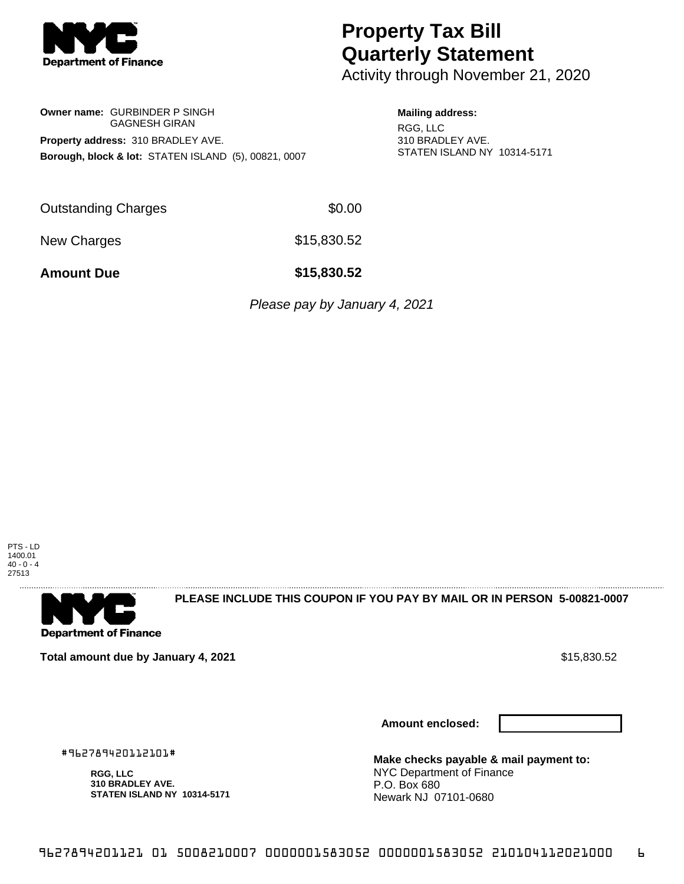

# **Property Tax Bill Quarterly Statement**

Activity through November 21, 2020

## **Owner name:** GURBINDER P SINGH GAGNESH GIRAN **Property address:** 310 BRADLEY AVE. **Borough, block & lot:** STATEN ISLAND (5), 00821, 0007

#### **Mailing address:**

RGG, LLC 310 BRADLEY AVE. STATEN ISLAND NY 10314-5171

Outstanding Charges \$0.00

New Charges \$15,830.52

**Amount Due \$15,830.52**

Please pay by January 4, 2021

PTS - LD 1400.01  $40 - 0 - 4$ 27513



**PLEASE INCLUDE THIS COUPON IF YOU PAY BY MAIL OR IN PERSON 5-00821-0007** 

**Total amount due by January 4, 2021 \$15,830.52** \$15,830.52

**Amount enclosed:**



#962789420112101#

**RGG, LLC 310 BRADLEY AVE. STATEN ISLAND NY 10314-5171**

**Make checks payable & mail payment to:** NYC Department of Finance P.O. Box 680 Newark NJ 07101-0680